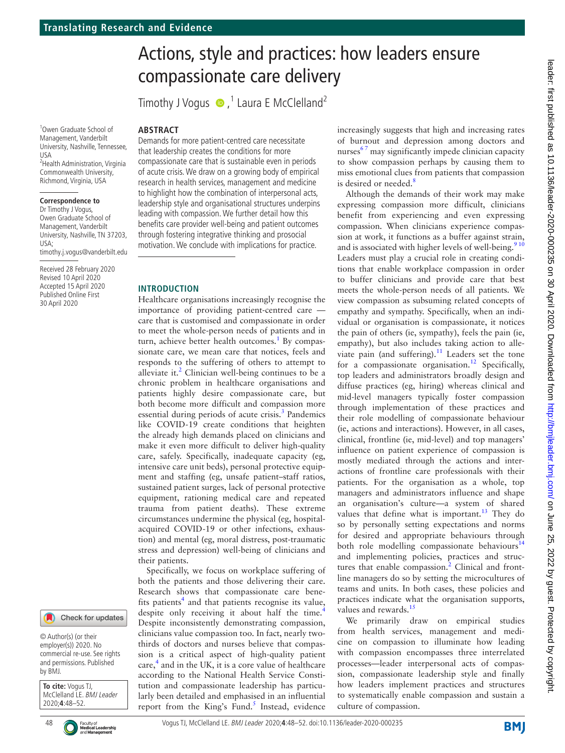1 Owen Graduate School of Management, Vanderbilt University, Nashville, Tennessee, USA <sup>2</sup> Health Administration, Virginia Commonwealth University, Richmond, Virginia, USA

### **Correspondence to**

Dr Timothy J Vogus, Owen Graduate School of Management, Vanderbilt University, Nashville, TN 37203, USA; timothy.j.vogus@vanderbilt.edu

Received 28 February 2020 Revised 10 April 2020 Accepted 15 April 2020 Published Online First 30 April 2020



© Author(s) (or their employer(s)) 2020. No commercial re-use. See rights and permissions. Published by BMJ.

**To cite:** Vogus TJ, McClelland LE. BMJ Leader 2020;**4**:48–52.



# Actions, style and practices: how leaders ensure compassionate care delivery

TimothyJ Vogus  $\bullet$  ,<sup>1</sup> Laura E McClelland<sup>2</sup>

### **Abstract**

Demands for more patient-centred care necessitate that leadership creates the conditions for more compassionate care that is sustainable even in periods of acute crisis. We draw on a growing body of empirical research in health services, management and medicine to highlight how the combination of interpersonal acts, leadership style and organisational structures underpins leading with compassion. We further detail how this benefits care provider well-being and patient outcomes through fostering integrative thinking and prosocial motivation. We conclude with implications for practice.

### **Introduction**

Healthcare organisations increasingly recognise the importance of providing patient-centred care care that is customised and compassionate in order to meet the whole-person needs of patients and in turn, achieve better health outcomes.<sup>[1](#page-3-0)</sup> By compassionate care, we mean care that notices, feels and responds to the suffering of others to attempt to alleviate it. $2$  Clinician well-being continues to be a chronic problem in healthcare organisations and patients highly desire compassionate care, but both become more difficult and compassion more essential during periods of acute crisis.<sup>[3](#page-3-2)</sup> Pandemics like COVID-19 create conditions that heighten the already high demands placed on clinicians and make it even more difficult to deliver high-quality care, safely. Specifically, inadequate capacity (eg, intensive care unit beds), personal protective equipment and staffing (eg, unsafe patient–staff ratios, sustained patient surges, lack of personal protective equipment, rationing medical care and repeated trauma from patient deaths). These extreme circumstances undermine the physical (eg, hospitalacquired COVID-19 or other infections, exhaustion) and mental (eg, moral distress, post-traumatic stress and depression) well-being of clinicians and their patients.

Specifically, we focus on workplace suffering of both the patients and those delivering their care. Research shows that compassionate care bene-fits patients<sup>[4](#page-3-3)</sup> and that patients recognise its value, despite only receiving it about half the time.<sup>[4](#page-3-3)</sup> Despite inconsistently demonstrating compassion, clinicians value compassion too. In fact, nearly twothirds of doctors and nurses believe that compassion is a critical aspect of high-quality patient care,<sup>4</sup> and in the UK, it is a core value of healthcare according to the National Health Service Constitution and compassionate leadership has particularly been detailed and emphasised in an influential report from the King's Fund.<sup>[5](#page-3-4)</sup> Instead, evidence increasingly suggests that high and increasing rates of burnout and depression among doctors and nurses $^{67}$  may significantly impede clinician capacity to show compassion perhaps by causing them to miss emotional clues from patients that compassion is desired or needed.<sup>8</sup>

Although the demands of their work may make expressing compassion more difficult, clinicians benefit from experiencing and even expressing compassion. When clinicians experience compassion at work, it functions as a buffer against strain, and is associated with higher levels of well-being.<sup>910</sup> Leaders must play a crucial role in creating conditions that enable workplace compassion in order to buffer clinicians and provide care that best meets the whole-person needs of all patients. We view compassion as subsuming related concepts of empathy and sympathy. Specifically, when an individual or organisation is compassionate, it notices the pain of others (ie, sympathy), feels the pain (ie, empathy), but also includes taking action to alleviate pain (and suffering). $11$  Leaders set the tone for a compassionate organisation.<sup>[12](#page-3-9)</sup> Specifically, top leaders and administrators broadly design and diffuse practices (eg, hiring) whereas clinical and mid-level managers typically foster compassion through implementation of these practices and their role modelling of compassionate behaviour (ie, actions and interactions). However, in all cases, clinical, frontline (ie, mid-level) and top managers' influence on patient experience of compassion is mostly mediated through the actions and interactions of frontline care professionals with their patients. For the organisation as a whole, top managers and administrators influence and shape an organisation's culture—a system of shared values that define what is important.<sup>[13](#page-3-10)</sup> They do so by personally setting expectations and norms for desired and appropriate behaviours through both role modelling compassionate behaviours<sup>[14](#page-3-11)</sup> and implementing policies, practices and struc-tures that enable compassion.<sup>[2](#page-3-1)</sup> Clinical and frontline managers do so by setting the microcultures of teams and units. In both cases, these policies and practices indicate what the organisation supports, values and rewards.<sup>15</sup>

We primarily draw on empirical studies from health services, management and medicine on compassion to illuminate how leading with compassion encompasses three interrelated processes—leader interpersonal acts of compassion, compassionate leadership style and finally how leaders implement practices and structures to systematically enable compassion and sustain a culture of compassion.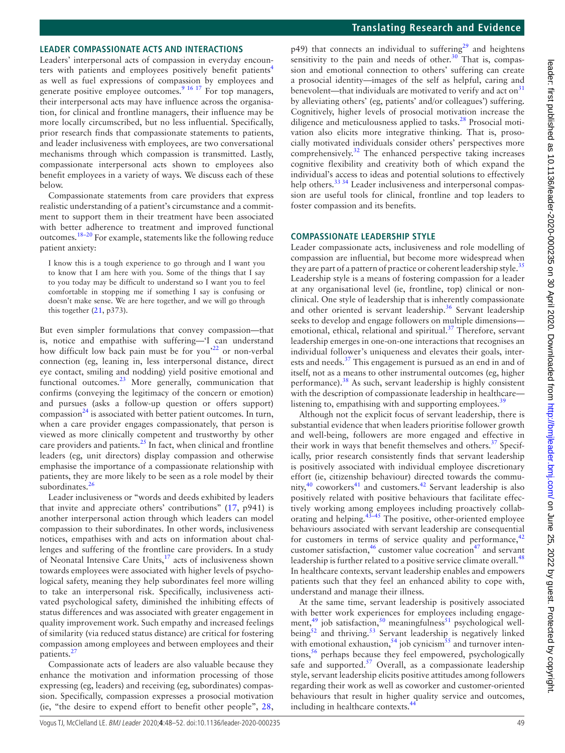### **Leader compassionate acts and interactions**

Leaders' interpersonal acts of compassion in everyday encounters with patients and employees positively benefit patients<sup>4</sup> as well as fuel expressions of compassion by employees and generate positive employee outcomes.<sup>9 16 17</sup> For top managers, their interpersonal acts may have influence across the organisation, for clinical and frontline managers, their influence may be more locally circumscribed, but no less influential. Specifically, prior research finds that compassionate statements to patients, and leader inclusiveness with employees, are two conversational mechanisms through which compassion is transmitted. Lastly, compassionate interpersonal acts shown to employees also benefit employees in a variety of ways. We discuss each of these below.

Compassionate statements from care providers that express realistic understanding of a patient's circumstance and a commitment to support them in their treatment have been associated with better adherence to treatment and improved functional outcomes[.18–20](#page-3-13) For example, statements like the following reduce patient anxiety:

I know this is a tough experience to go through and I want you to know that I am here with you. Some of the things that I say to you today may be difficult to understand so I want you to feel comfortable in stopping me if something I say is confusing or doesn't make sense. We are here together, and we will go through this together  $(21, p373)$  $(21, p373)$ .

But even simpler formulations that convey compassion—that is, notice and empathise with suffering—'I can understand how difficult low back pain must be for you<sup>22</sup> or non-verbal connection (eg, leaning in, less interpersonal distance, direct eye contact, smiling and nodding) yield positive emotional and functional outcomes. $^{23}$  More generally, communication that confirms (conveying the legitimacy of the concern or emotion) and pursues (asks a follow-up question or offers support) compassion $^{24}$  $^{24}$  $^{24}$  is associated with better patient outcomes. In turn, when a care provider engages compassionately, that person is viewed as more clinically competent and trustworthy by other care providers and patients. $^{25}$  $^{25}$  $^{25}$  In fact, when clinical and frontline leaders (eg, unit directors) display compassion and otherwise emphasise the importance of a compassionate relationship with patients, they are more likely to be seen as a role model by their subordinates.<sup>[26](#page-4-5)</sup>

Leader inclusiveness or "words and deeds exhibited by leaders that invite and appreciate others' contributions" ([17,](#page-3-14) p941) is another interpersonal action through which leaders can model compassion to their subordinates. In other words, inclusiveness notices, empathises with and acts on information about challenges and suffering of the frontline care providers. In a study of Neonatal Intensive Care Units, $17$  acts of inclusiveness shown towards employees were associated with higher levels of psychological safety, meaning they help subordinates feel more willing to take an interpersonal risk. Specifically, inclusiveness activated psychological safety, diminished the inhibiting effects of status differences and was associated with greater engagement in quality improvement work. Such empathy and increased feelings of similarity (via reduced status distance) are critical for fostering compassion among employees and between employees and their patients.<sup>[27](#page-4-6)</sup>

Compassionate acts of leaders are also valuable because they enhance the motivation and information processing of those expressing (eg, leaders) and receiving (eg, subordinates) compassion. Specifically, compassion expresses a prosocial motivation (ie, "the desire to expend effort to benefit other people", [28](#page-4-7),

 $p49$ ) that connects an individual to suffering<sup>[29](#page-4-8)</sup> and heightens sensitivity to the pain and needs of other. $30$  That is, compassion and emotional connection to others' suffering can create a prosocial identity—images of the self as helpful, caring and benevolent—that individuals are motivated to verify and act on $31$ by alleviating others' (eg, patients' and/or colleagues') suffering. Cognitively, higher levels of prosocial motivation increase the diligence and meticulousness applied to tasks.<sup>28</sup> Prosocial motivation also elicits more integrative thinking. That is, prosocially motivated individuals consider others' perspectives more comprehensively. $32$  The enhanced perspective taking increases cognitive flexibility and creativity both of which expand the individual's access to ideas and potential solutions to effectively help others.<sup>33 34</sup> Leader inclusiveness and interpersonal compassion are useful tools for clinical, frontline and top leaders to foster compassion and its benefits.

### **Compassionate leadership style**

Leader compassionate acts, inclusiveness and role modelling of compassion are influential, but become more widespread when they are part of a pattern of practice or coherent leadership style.<sup>[35](#page-4-13)</sup> Leadership style is a means of fostering compassion for a leader at any organisational level (ie, frontline, top) clinical or nonclinical. One style of leadership that is inherently compassionate and other oriented is servant leadership.<sup>36</sup> Servant leadership seeks to develop and engage followers on multiple dimensions emotional, ethical, relational and spiritual[.37](#page-4-15) Therefore, servant leadership emerges in one-on-one interactions that recognises an individual follower's uniqueness and elevates their goals, interests and needs.<sup>37</sup> This engagement is pursued as an end in and of itself, not as a means to other instrumental outcomes (eg, higher performance). $38$  As such, servant leadership is highly consistent with the description of compassionate leadership in healthcare— listening to, empathising with and supporting employees.<sup>[39](#page-4-17)</sup>

Although not the explicit focus of servant leadership, there is substantial evidence that when leaders prioritise follower growth and well-being, followers are more engaged and effective in their work in ways that benefit themselves and others.<sup>[37](#page-4-15)</sup> Specifically, prior research consistently finds that servant leadership is positively associated with individual employee discretionary effort (ie, citizenship behaviour) directed towards the community, $40$  coworkers $41$  and customers. $42$  Servant leadership is also positively related with positive behaviours that facilitate effectively working among employees including proactively collaborating and helping.<sup>43–45</sup> The positive, other-oriented employee behaviours associated with servant leadership are consequential for customers in terms of service quality and performance, $42$ customer satisfaction,<sup>46</sup> customer value cocreation<sup>47</sup> and servant leadership is further related to a positive service climate overall.<sup>[48](#page-4-24)</sup> In healthcare contexts, servant leadership enables and empowers patients such that they feel an enhanced ability to cope with, understand and manage their illness.

At the same time, servant leadership is positively associated with better work experiences for employees including engage-ment,<sup>[49](#page-4-25)</sup> job satisfaction,<sup>[50](#page-4-26)</sup> meaningfulness<sup>51</sup> psychological well-being<sup>[52](#page-4-28)</sup> and thriving.<sup>53</sup> Servant leadership is negatively linked with emotional exhaustion,  $54$  job cynicism<sup>55</sup> and turnover intentions,<sup>56</sup> perhaps because they feel empowered, psychologically safe and supported. $57$  Overall, as a compassionate leadership style, servant leadership elicits positive attitudes among followers regarding their work as well as coworker and customer-oriented behaviours that result in higher quality service and outcomes, including in healthcare contexts.<sup>4</sup>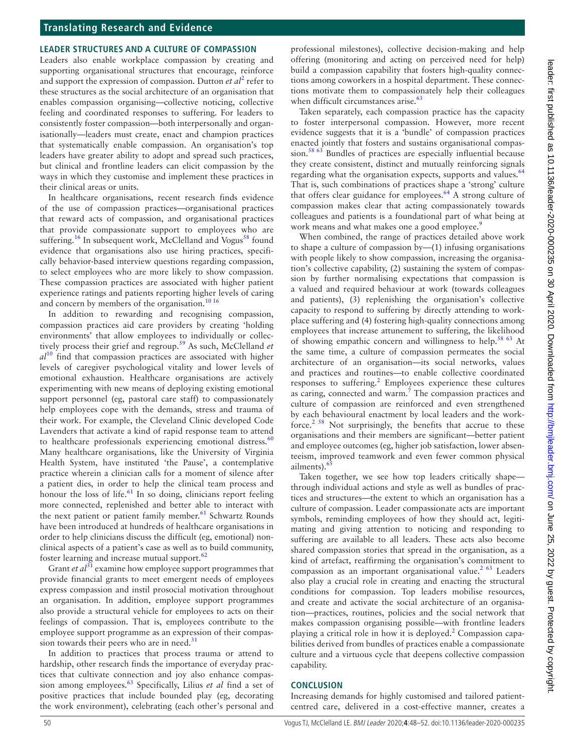# **Translating Research and Evidence**

### **Leader structures and a culture of compassion**

Leaders also enable workplace compassion by creating and supporting organisational structures that encourage, reinforce and support the expression of compassion. Dutton *et al*<sup>[2](#page-3-1)</sup> refer to these structures as the social architecture of an organisation that enables compassion organising—collective noticing, collective feeling and coordinated responses to suffering. For leaders to consistently foster compassion—both interpersonally and organisationally—leaders must create, enact and champion practices that systematically enable compassion. An organisation's top leaders have greater ability to adopt and spread such practices, but clinical and frontline leaders can elicit compassion by the ways in which they customise and implement these practices in their clinical areas or units.

In healthcare organisations, recent research finds evidence of the use of compassion practices—organisational practices that reward acts of compassion, and organisational practices that provide compassionate support to employees who are suffering.<sup>[16](#page-3-15)</sup> In subsequent work, McClelland and Vogus<sup>58</sup> found evidence that organisations also use hiring practices, specifically behavior-based interview questions regarding compassion, to select employees who are more likely to show compassion. These compassion practices are associated with higher patient experience ratings and patients reporting higher levels of caring and concern by members of the organisation.<sup>[10 16](#page-3-16)</sup>

In addition to rewarding and recognising compassion, compassion practices aid care providers by creating 'holding environments' that allow employees to individually or collectively process their grief and regroup.[59](#page-4-36) As such, McClelland *et al*[10](#page-3-16) find that compassion practices are associated with higher levels of caregiver psychological vitality and lower levels of emotional exhaustion. Healthcare organisations are actively experimenting with new means of deploying existing emotional support personnel (eg, pastoral care staff) to compassionately help employees cope with the demands, stress and trauma of their work. For example, the Cleveland Clinic developed Code Lavenders that activate a kind of rapid response team to attend to healthcare professionals experiencing emotional distress. $60$ Many healthcare organisations, like the University of Virginia Health System, have instituted 'the Pause', a contemplative practice wherein a clinician calls for a moment of silence after a patient dies, in order to help the clinical team process and honour the loss of life.<sup>61</sup> In so doing, clinicians report feeling more connected, replenished and better able to interact with the next patient or patient family member. $61$  Schwartz Rounds have been introduced at hundreds of healthcare organisations in order to help clinicians discuss the difficult (eg, emotional) nonclinical aspects of a patient's case as well as to build community, foster learning and increase mutual support.<sup>62</sup>

Grant *et al*<sup>[31](#page-4-10)</sup> examine how employee support programmes that provide financial grants to meet emergent needs of employees express compassion and instil prosocial motivation throughout an organisation. In addition, employee support programmes also provide a structural vehicle for employees to acts on their feelings of compassion. That is, employees contribute to the employee support programme as an expression of their compassion towards their peers who are in need. $31$ 

In addition to practices that process trauma or attend to hardship, other research finds the importance of everyday practices that cultivate connection and joy also enhance compassion among employees.[63](#page-4-40) Specifically, Lilius *et al* find a set of positive practices that include bounded play (eg, decorating the work environment), celebrating (each other's personal and

professional milestones), collective decision-making and help offering (monitoring and acting on perceived need for help) build a compassion capability that fosters high-quality connections among coworkers in a hospital department. These connections motivate them to compassionately help their colleagues when difficult circumstances arise.<sup>63</sup>

Taken separately, each compassion practice has the capacity to foster interpersonal compassion. However, more recent evidence suggests that it is a 'bundle' of compassion practices enacted jointly that fosters and sustains organisational compassion.<sup>58 63</sup> Bundles of practices are especially influential because they create consistent, distinct and mutually reinforcing signals regarding what the organisation expects, supports and values.<sup>[64](#page-4-41)</sup> That is, such combinations of practices shape a 'strong' culture that offers clear guidance for employees. $64$ <sup> $-$ </sup>A strong culture of compassion makes clear that acting compassionately towards colleagues and patients is a foundational part of what being at work means and what makes one a good employee.<sup>9</sup>

When combined, the range of practices detailed above work to shape a culture of compassion by—(1) infusing organisations with people likely to show compassion, increasing the organisation's collective capability, (2) sustaining the system of compassion by further normalising expectations that compassion is a valued and required behaviour at work (towards colleagues and patients), (3) replenishing the organisation's collective capacity to respond to suffering by directly attending to workplace suffering and (4) fostering high-quality connections among employees that increase attunement to suffering, the likelihood of showing empathic concern and willingness to help.<sup>[58 63](#page-4-35)</sup> At the same time, a culture of compassion permeates the social architecture of an organisation—its social networks, values and practices and routines—to enable collective coordinated responses to suffering.<sup>[2](#page-3-1)</sup> Employees experience these cultures as caring, connected and warm.<sup>7</sup> The compassion practices and culture of compassion are reinforced and even strengthened by each behavioural enactment by local leaders and the work-force.<sup>[2 58](#page-3-1)</sup> Not surprisingly, the benefits that accrue to these organisations and their members are significant—better patient and employee outcomes (eg, higher job satisfaction, lower absenteeism, improved teamwork and even fewer common physical ailments).<sup>6</sup>

Taken together, we see how top leaders critically shape through individual actions and style as well as bundles of practices and structures—the extent to which an organisation has a culture of compassion. Leader compassionate acts are important symbols, reminding employees of how they should act, legitimating and giving attention to noticing and responding to suffering are available to all leaders. These acts also become shared compassion stories that spread in the organisation, as a kind of artefact, reaffirming the organisation's commitment to compassion as an important organisational value.<sup>2  $63$ </sup> Leaders also play a crucial role in creating and enacting the structural conditions for compassion. Top leaders mobilise resources, and create and activate the social architecture of an organisation—practices, routines, policies and the social network that makes compassion organising possible—with frontline leaders playing a critical role in how it is deployed.<sup>[2](#page-3-1)</sup> Compassion capabilities derived from bundles of practices enable a compassionate culture and a virtuous cycle that deepens collective compassion capability.

### **Conclusion**

Increasing demands for highly customised and tailored patientcentred care, delivered in a cost-effective manner, creates a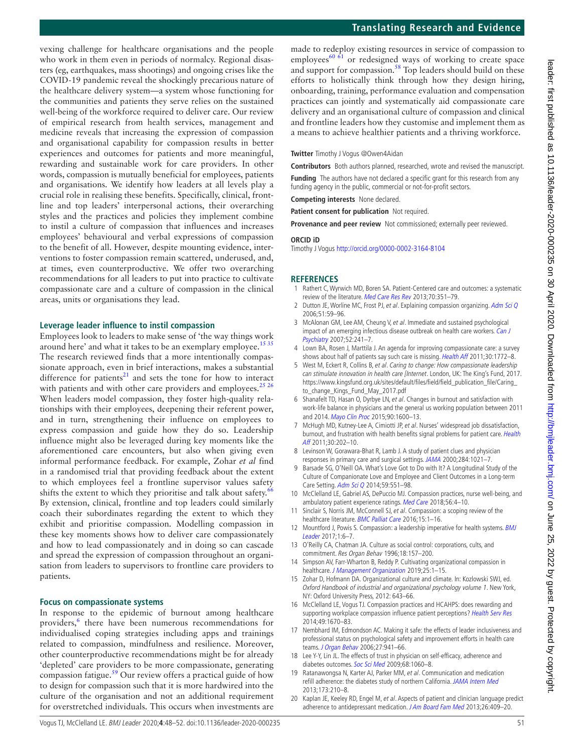## **Translating Research and Evidence**

made to redeploy existing resources in service of compassion to employees $^{60 \text{ } 61}$  or redesigned ways of working to create space and support for compassion.<sup>58</sup> Top leaders should build on these efforts to holistically think through how they design hiring, onboarding, training, performance evaluation and compensation practices can jointly and systematically aid compassionate care delivery and an organisational culture of compassion and clinical and frontline leaders how they customise and implement them as a means to achieve healthier patients and a thriving workforce.

**Twitter** Timothy J Vogus [@Owen4Aidan](https://twitter.com/Owen4Aidan)

**Contributors** Both authors planned, researched, wrote and revised the manuscript.

**Funding** The authors have not declared a specific grant for this research from any

funding agency in the public, commercial or not-for-profit sectors.

**Competing interests** None declared.

**Patient consent for publication** Not required.

**Provenance and peer review** Not commissioned; externally peer reviewed.

### **ORCID iD**

Timothy J Vogus<http://orcid.org/0000-0002-3164-8104>

### **References**

- <span id="page-3-0"></span>1 Rathert C, Wyrwich MD, Boren SA. Patient-Centered care and outcomes: a systematic review of the literature. [Med Care Res Rev](http://dx.doi.org/10.1177/1077558712465774) 2013:70:351-79.
- <span id="page-3-1"></span>2 Dutton JE, Worline MC, Frost PJ, et al. Explaining compassion organizing. [Adm Sci Q](http://dx.doi.org/10.2189/asqu.51.1.59) 2006;51:59–96.
- <span id="page-3-2"></span>3 McAlonan GM, Lee AM, Cheung V, et al. Immediate and sustained psychological impact of an emerging infectious disease outbreak on health care workers. Can J [Psychiatry](http://dx.doi.org/10.1177/070674370705200406) 2007;52:241–7.
- <span id="page-3-3"></span>4 Lown BA, Rosen J, Marttila J. An agenda for improving compassionate care: a survey shows about half of patients say such care is missing. [Health Aff](http://dx.doi.org/10.1377/hlthaff.2011.0539) 2011;30:1772-8.
- <span id="page-3-4"></span>5 West M, Eckert R, Collins B, et al. Caring to change: How compassionate leadership can stimulate innovation in health care [Internet. London, UK: The King's Fund, 2017. [https://www.kingsfund.org.uk/sites/default/files/field/field\\_publication\\_file/Caring\\_](https://www.kingsfund.org.uk/sites/default/files/field/field_publication_file/Caring_to_change_Kings_Fund_May_2017.pdf) [to\\_change\\_Kings\\_Fund\\_May\\_2017.pdf](https://www.kingsfund.org.uk/sites/default/files/field/field_publication_file/Caring_to_change_Kings_Fund_May_2017.pdf)
- <span id="page-3-5"></span>6 Shanafelt TD, Hasan O, Dyrbye LN, et al. Changes in burnout and satisfaction with work-life balance in physicians and the general us working population between 2011 and 2014. [Mayo Clin Proc](http://dx.doi.org/10.1016/j.mayocp.2015.08.023) 2015;90:1600-13.
- <span id="page-3-17"></span>7 McHugh MD, Kutney-Lee A, Cimiotti JP, et al. Nurses' widespread job dissatisfaction, burnout, and frustration with health benefits signal problems for patient care. Health [Aff](http://dx.doi.org/10.1377/hlthaff.2010.0100) 2011;30:202–10.
- <span id="page-3-6"></span>8 Levinson W, Gorawara-Bhat R, Lamb J. A study of patient clues and physician responses in primary care and surgical settings. [JAMA](http://dx.doi.org/10.1001/jama.284.8.1021) 2000;284:1021–7.
- <span id="page-3-7"></span>9 Barsade SG, O'Neill OA. What's Love Got to Do with It? A Longitudinal Study of the Culture of Companionate Love and Employee and Client Outcomes in a Long-term Care Setting. [Adm Sci Q](http://dx.doi.org/10.1177/0001839214538636) 2014;59:551–98.
- <span id="page-3-16"></span>10 McClelland LE, Gabriel AS, DePuccio MJ. Compassion practices, nurse well-being, and ambulatory patient experience ratings. [Med Care](http://dx.doi.org/10.1097/MLR.0000000000000834) 2018;56:4-10.
- <span id="page-3-8"></span>11 Sinclair S, Norris JM, McConnell SJ, et al. Compassion: a scoping review of the healthcare literature. [BMC Palliat Care](http://dx.doi.org/10.1186/s12904-016-0080-0) 2016;15:1-16.
- <span id="page-3-9"></span>12 Mountford J, Powis S. Compassion: a leadership imperative for health systems. BMJ [Leader](http://dx.doi.org/10.1136/leader-2017-000024) 2017;1:6–7.
- <span id="page-3-10"></span>13 O'Reilly CA, Chatman JA. Culture as social control: corporations, cults, and commitment. Res Organ Behav 1996;18:157–200.
- <span id="page-3-11"></span>14 Simpson AV, Farr-Wharton B, Reddy P. Cultivating organizational compassion in healthcare. [J Management Organization](http://dx.doi.org/10.1017/jmo.2019.54) 2019;25:1-15.
- <span id="page-3-12"></span>15 Zohar D, Hofmann DA. Organizational culture and climate. In: Kozlowski SWJ, ed. Oxford Handbook of industrial and organizational psychology volume 1. New York, NY: Oxford University Press, 2012: 643–66.
- <span id="page-3-15"></span>16 McClelland LE, Vogus TJ. Compassion practices and HCAHPS: does rewarding and supporting workplace compassion influence patient perceptions? [Health Serv Res](http://dx.doi.org/10.1111/1475-6773.12186) 2014;49:1670–83.
- <span id="page-3-14"></span>17 Nembhard IM, Edmondson AC. Making it safe: the effects of leader inclusiveness and professional status on psychological safety and improvement efforts in health care teams. [J Organ Behav](http://dx.doi.org/10.1002/job.413) 2006;27:941-66.
- <span id="page-3-13"></span>18 Lee Y-Y, Lin JL. The effects of trust in physician on self-efficacy, adherence and diabetes outcomes. [Soc Sci Med](http://dx.doi.org/10.1016/j.socscimed.2008.12.033) 2009;68:1060-8.
- 19 Ratanawongsa N, Karter AJ, Parker MM, et al. Communication and medication refill adherence: the diabetes study of northern California. [JAMA Intern Med](http://dx.doi.org/10.1001/jamainternmed.2013.1216) 2013;173:210–8.
- 20 Kaplan JE, Keeley RD, Engel M, et al. Aspects of patient and clinician language predict adherence to antidepressant medication. [J Am Board Fam Med](http://dx.doi.org/10.3122/jabfm.2013.04.120201) 2013;26:409-20.

vexing challenge for healthcare organisations and the people who work in them even in periods of normalcy. Regional disasters (eg, earthquakes, mass shootings) and ongoing crises like the COVID-19 pandemic reveal the shockingly precarious nature of the healthcare delivery system—a system whose functioning for the communities and patients they serve relies on the sustained well-being of the workforce required to deliver care. Our review of empirical research from health services, management and medicine reveals that increasing the expression of compassion and organisational capability for compassion results in better experiences and outcomes for patients and more meaningful, rewarding and sustainable work for care providers. In other words, compassion is mutually beneficial for employees, patients and organisations. We identify how leaders at all levels play a crucial role in realising these benefits. Specifically, clinical, frontline and top leaders' interpersonal actions, their overarching styles and the practices and policies they implement combine to instil a culture of compassion that influences and increases employees' behavioural and verbal expressions of compassion to the benefit of all. However, despite mounting evidence, interventions to foster compassion remain scattered, underused, and, at times, even counterproductive. We offer two overarching recommendations for all leaders to put into practice to cultivate compassionate care and a culture of compassion in the clinical areas, units or organisations they lead.

### **Leverage leader influence to instil compassion**

Employees look to leaders to make sense of 'the way things work around here' and what it takes to be an exemplary employee.<sup>1535</sup> The research reviewed finds that a more intentionally compassionate approach, even in brief interactions, makes a substantial difference for patients $21$  and sets the tone for how to interact with patients and with other care providers and employees.<sup>[25 26](#page-4-4)</sup> When leaders model compassion, they foster high-quality relationships with their employees, deepening their referent power, and in turn, strengthening their influence on employees to express compassion and guide how they do so. Leadership influence might also be leveraged during key moments like the aforementioned care encounters, but also when giving even informal performance feedback. For example, Zohar *et al* find in a randomised trial that providing feedback about the extent to which employees feel a frontline supervisor values safety shifts the extent to which they prioritise and talk about safety.<sup>[66](#page-4-43)</sup> By extension, clinical, frontline and top leaders could similarly coach their subordinates regarding the extent to which they exhibit and prioritise compassion. Modelling compassion in these key moments shows how to deliver care compassionately and how to lead compassionately and in doing so can cascade and spread the expression of compassion throughout an organisation from leaders to supervisors to frontline care providers to patients.

### **Focus on compassionate systems**

In response to the epidemic of burnout among healthcare providers,<sup>[6](#page-3-5)</sup> there have been numerous recommendations for individualised coping strategies including apps and trainings related to compassion, mindfulness and resilience. Moreover, other counterproductive recommendations might be for already 'depleted' care providers to be more compassionate, generating compassion fatigue.<sup>[59](#page-4-36)</sup> Our review offers a practical guide of how to design for compassion such that it is more hardwired into the culture of the organisation and not an additional requirement for overstretched individuals. This occurs when investments are